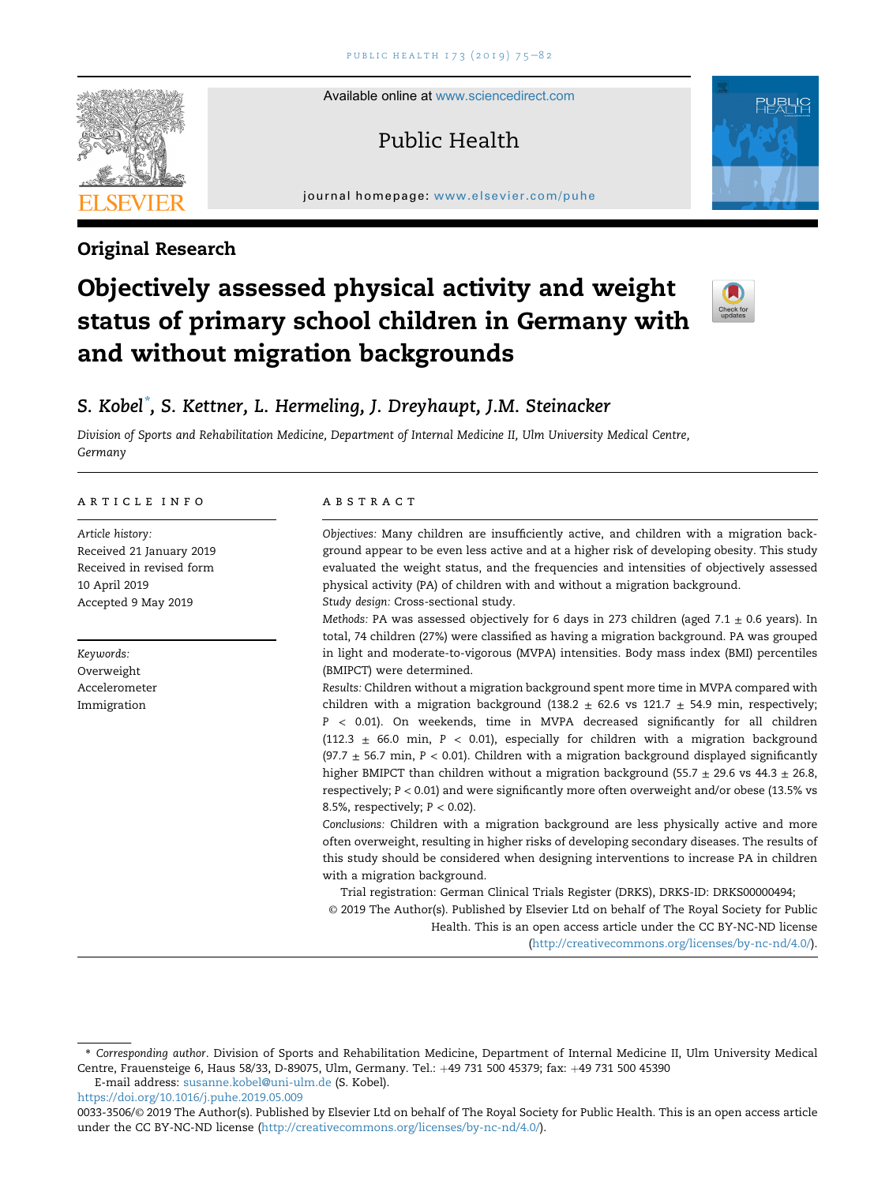Available online at [www.sciencedirect.com](www.sciencedirect.com/science/journal/00333506)

# Public Health

journal homepage: <www.elsevier.com/puhe>



# Objectively assessed physical activity and weight status of primary school children in Germany with and without migration backgrounds



# S. Kobel $\degree$ , S. Kettner, L. Hermeling, J. Dreyhaupt, J.M. Steinacker

Division of Sports and Rehabilitation Medicine, Department of Internal Medicine II, Ulm University Medical Centre, Germany

#### article info

Article history: Received 21 January 2019 Received in revised form 10 April 2019 Accepted 9 May 2019

Keywords: Overweight Accelerometer Immigration

# **ABSTRACT**

Objectives: Many children are insufficiently active, and children with a migration background appear to be even less active and at a higher risk of developing obesity. This study evaluated the weight status, and the frequencies and intensities of objectively assessed physical activity (PA) of children with and without a migration background. Study design: Cross-sectional study.

Methods: PA was assessed objectively for 6 days in 273 children (aged 7.1  $\pm$  0.6 years). In total, 74 children (27%) were classified as having a migration background. PA was grouped in light and moderate-to-vigorous (MVPA) intensities. Body mass index (BMI) percentiles (BMIPCT) were determined.

Results: Children without a migration background spent more time in MVPA compared with children with a migration background (138.2  $\pm$  62.6 vs 121.7  $\pm$  54.9 min, respectively; P < 0.01). On weekends, time in MVPA decreased significantly for all children (112.3  $\pm$  66.0 min, P < 0.01), especially for children with a migration background (97.7  $\pm$  56.7 min, P < 0.01). Children with a migration background displayed significantly higher BMIPCT than children without a migration background (55.7  $\pm$  29.6 vs 44.3  $\pm$  26.8, respectively; P < 0.01) and were significantly more often overweight and/or obese (13.5% vs 8.5%, respectively;  $P < 0.02$ ).

Conclusions: Children with a migration background are less physically active and more often overweight, resulting in higher risks of developing secondary diseases. The results of this study should be considered when designing interventions to increase PA in children with a migration background.

Trial registration: German Clinical Trials Register (DRKS), DRKS-ID: DRKS00000494;

© 2019 The Author(s). Published by Elsevier Ltd on behalf of The Royal Society for Public Health. This is an open access article under the CC BY-NC-ND license

([http://creativecommons.org/licenses/by-nc-nd/4.0/\)](http://creativecommons.org/licenses/by-nc-nd/4.0/).

E-mail address: [susanne.kobel@uni-ulm.de](mailto:susanne.kobel@uni-ulm.de) (S. Kobel).

<https://doi.org/10.1016/j.puhe.2019.05.009>



Original Research

<sup>\*</sup> Corresponding author. Division of Sports and Rehabilitation Medicine, Department of Internal Medicine II, Ulm University Medical Centre, Frauensteige 6, Haus 58/33, D-89075, Ulm, Germany. Tel.: +49 731 500 45379; fax: +49 731 500 45390

<sup>0033-3506/</sup>© 2019 The Author(s). Published by Elsevier Ltd on behalf of The Royal Society for Public Health. This is an open access article under the CC BY-NC-ND license [\(http://creativecommons.org/licenses/by-nc-nd/4.0/\)](http://creativecommons.org/licenses/by-nc-nd/4.0/).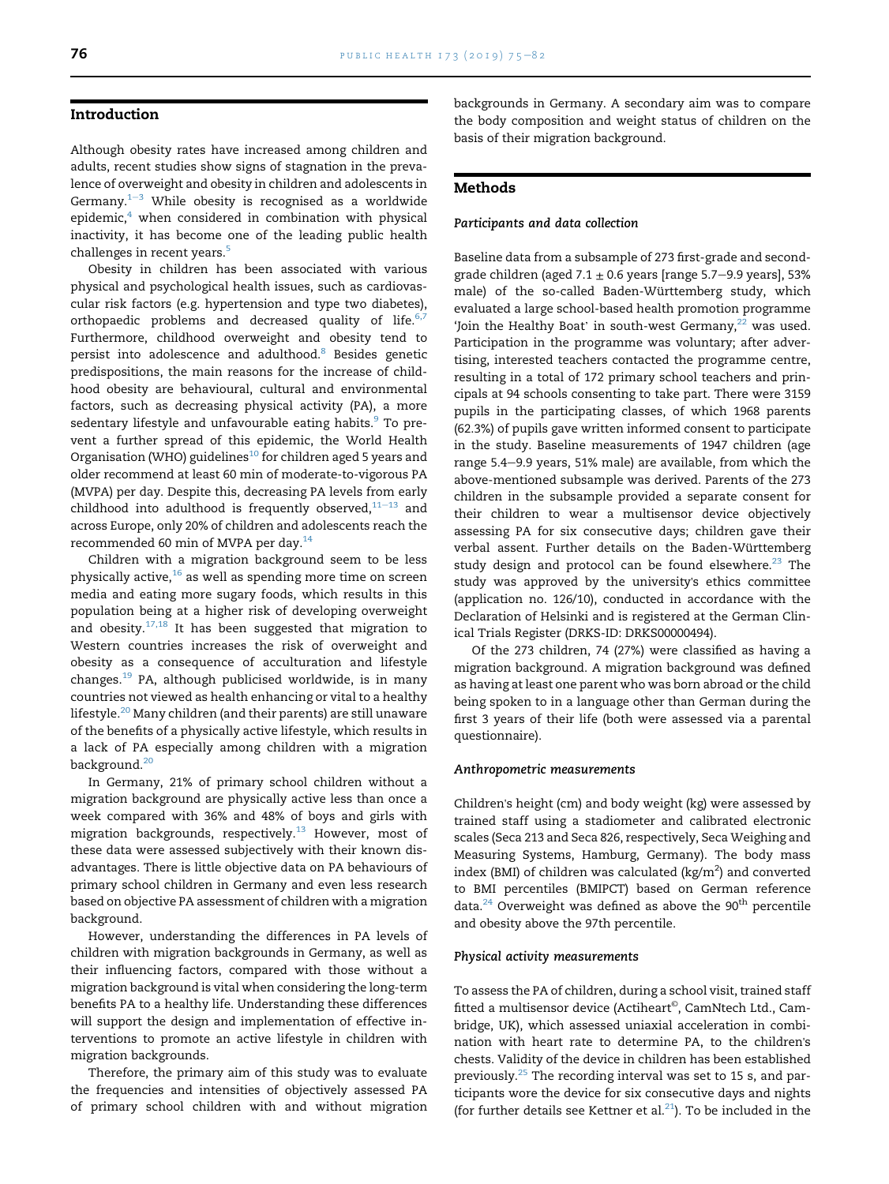# Introduction

Although obesity rates have increased among children and adults, recent studies show signs of stagnation in the prevalence of overweight and obesity in children and adolescents in Germany. $1-3$  $1-3$  While obesity is recognised as a worldwide  $epidemic<sub>1</sub><sup>4</sup>$  $epidemic<sub>1</sub><sup>4</sup>$  $epidemic<sub>1</sub><sup>4</sup>$  when considered in combination with physical inactivity, it has become one of the leading public health challenges in recent years.<sup>5</sup>

Obesity in children has been associated with various physical and psychological health issues, such as cardiovascular risk factors (e.g. hypertension and type two diabetes), orthopaedic problems and decreased quality of life. $6,7$ Furthermore, childhood overweight and obesity tend to persist into adolescence and adulthood[.8](#page-6-0) Besides genetic predispositions, the main reasons for the increase of childhood obesity are behavioural, cultural and environmental factors, such as decreasing physical activity (PA), a more sedentary lifestyle and unfavourable eating habits.<sup>9</sup> To prevent a further spread of this epidemic, the World Health Organisation (WHO) guidelines $^{10}$  $^{10}$  $^{10}$  for children aged 5 years and older recommend at least 60 min of moderate-to-vigorous PA (MVPA) per day. Despite this, decreasing PA levels from early childhood into adulthood is frequently observed, $11-13$  $11-13$  and across Europe, only 20% of children and adolescents reach the recommended 60 min of MVPA per day.[14](#page-6-0)

Children with a migration background seem to be less physically active,<sup>[16](#page-6-0)</sup> as well as spending more time on screen media and eating more sugary foods, which results in this population being at a higher risk of developing overweight and obesity.[17,18](#page-6-0) It has been suggested that migration to Western countries increases the risk of overweight and obesity as a consequence of acculturation and lifestyle changes.[19](#page-6-0) PA, although publicised worldwide, is in many countries not viewed as health enhancing or vital to a healthy lifestyle.<sup>[20](#page-6-0)</sup> Many children (and their parents) are still unaware of the benefits of a physically active lifestyle, which results in a lack of PA especially among children with a migration background.<sup>[20](#page-6-0)</sup>

In Germany, 21% of primary school children without a migration background are physically active less than once a week compared with 36% and 48% of boys and girls with migration backgrounds, respectively. $^{13}$  However, most of these data were assessed subjectively with their known disadvantages. There is little objective data on PA behaviours of primary school children in Germany and even less research based on objective PA assessment of children with a migration background.

However, understanding the differences in PA levels of children with migration backgrounds in Germany, as well as their influencing factors, compared with those without a migration background is vital when considering the long-term benefits PA to a healthy life. Understanding these differences will support the design and implementation of effective interventions to promote an active lifestyle in children with migration backgrounds.

Therefore, the primary aim of this study was to evaluate the frequencies and intensities of objectively assessed PA of primary school children with and without migration backgrounds in Germany. A secondary aim was to compare the body composition and weight status of children on the basis of their migration background.

# Methods

#### Participants and data collection

Baseline data from a subsample of 273 first-grade and secondgrade children (aged 7.1  $\pm$  0.6 years [range 5.7–9.9 years], 53% male) of the so-called Baden-Württemberg study, which evaluated a large school-based health promotion programme 'Join the Healthy Boat' in south-west Germany, $^{22}$  $^{22}$  $^{22}$  was used. Participation in the programme was voluntary; after advertising, interested teachers contacted the programme centre, resulting in a total of 172 primary school teachers and principals at 94 schools consenting to take part. There were 3159 pupils in the participating classes, of which 1968 parents (62.3%) of pupils gave written informed consent to participate in the study. Baseline measurements of 1947 children (age range 5.4-9.9 years, 51% male) are available, from which the above-mentioned subsample was derived. Parents of the 273 children in the subsample provided a separate consent for their children to wear a multisensor device objectively assessing PA for six consecutive days; children gave their verbal assent. Further details on the Baden-Württemberg study design and protocol can be found elsewhere. $^{23}$  $^{23}$  $^{23}$  The study was approved by the university's ethics committee (application no. 126/10), conducted in accordance with the Declaration of Helsinki and is registered at the German Clinical Trials Register (DRKS-ID: DRKS00000494).

Of the 273 children, 74 (27%) were classified as having a migration background. A migration background was defined as having at least one parent who was born abroad or the child being spoken to in a language other than German during the first 3 years of their life (both were assessed via a parental questionnaire).

#### Anthropometric measurements

Children's height (cm) and body weight (kg) were assessed by trained staff using a stadiometer and calibrated electronic scales (Seca 213 and Seca 826, respectively, Seca Weighing and Measuring Systems, Hamburg, Germany). The body mass index (BMI) of children was calculated (kg/m<sup>2</sup>) and converted to BMI percentiles (BMIPCT) based on German reference data. $^{24}$  $^{24}$  $^{24}$  Overweight was defined as above the 90<sup>th</sup> percentile and obesity above the 97th percentile.

#### Physical activity measurements

To assess the PA of children, during a school visit, trained staff fitted a multisensor device (Actiheart©, CamNtech Ltd., Cambridge, UK), which assessed uniaxial acceleration in combination with heart rate to determine PA, to the children's chests. Validity of the device in children has been established previously.[25](#page-6-0) The recording interval was set to 15 s, and participants wore the device for six consecutive days and nights (for further details see Kettner et al. $^{21}$  $^{21}$  $^{21}$ ). To be included in the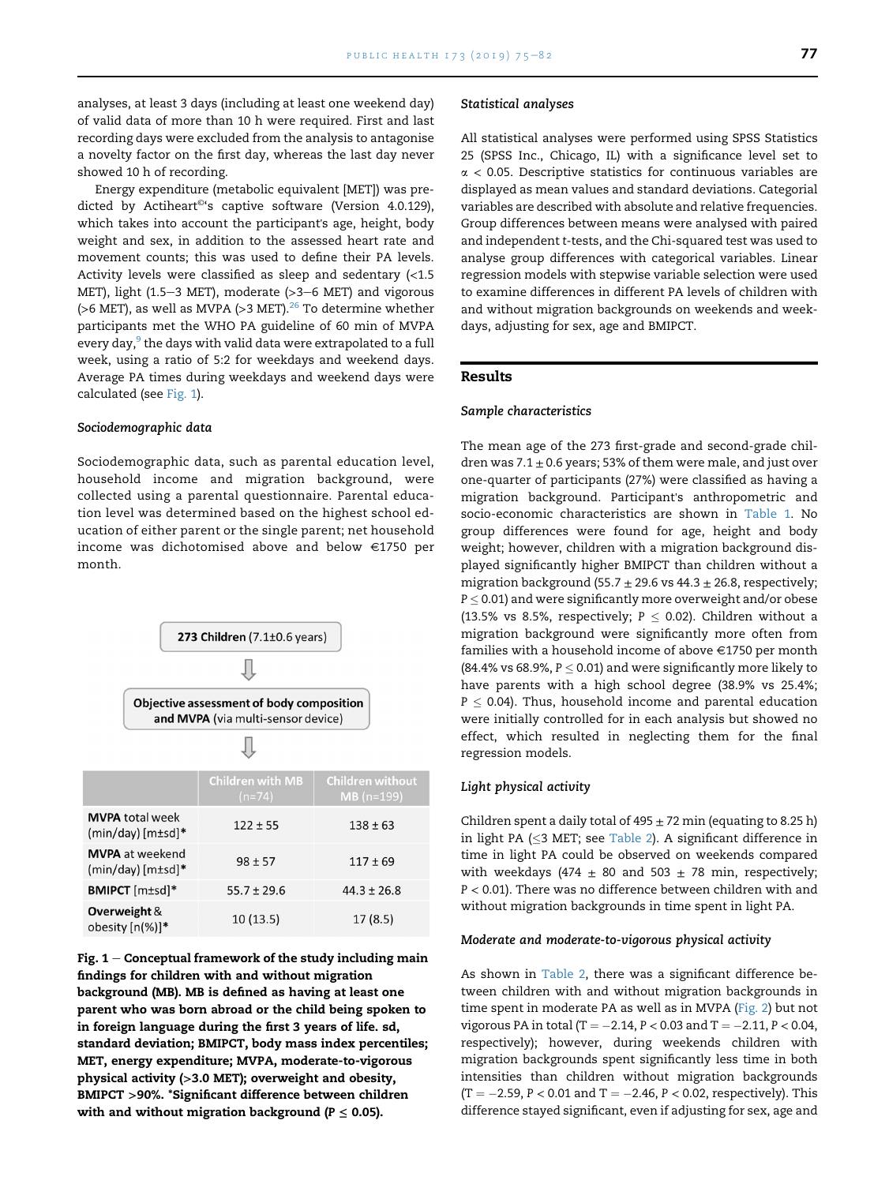analyses, at least 3 days (including at least one weekend day) of valid data of more than 10 h were required. First and last recording days were excluded from the analysis to antagonise a novelty factor on the first day, whereas the last day never showed 10 h of recording.

Energy expenditure (metabolic equivalent [MET]) was predicted by Actiheart<sup>®</sup>'s captive software (Version 4.0.129), which takes into account the participant's age, height, body weight and sex, in addition to the assessed heart rate and movement counts; this was used to define their PA levels. Activity levels were classified as sleep and sedentary (<1.5 MET), light (1.5-3 MET), moderate ( $>3-6$  MET) and vigorous (>6 MET), as well as MVPA (>3 MET). $^{26}$  To determine whether participants met the WHO PA guideline of 60 min of MVPA every day,<sup>9</sup> the days with valid data were extrapolated to a full week, using a ratio of 5:2 for weekdays and weekend days. Average PA times during weekdays and weekend days were calculated (see Fig. 1).

# Sociodemographic data

Sociodemographic data, such as parental education level, household income and migration background, were collected using a parental questionnaire. Parental education level was determined based on the highest school education of either parent or the single parent; net household income was dichotomised above and below  $\in$ 1750 per month.



Fig.  $1$  – Conceptual framework of the study including main findings for children with and without migration background (MB). MB is defined as having at least one parent who was born abroad or the child being spoken to in foreign language during the first 3 years of life. sd, standard deviation; BMIPCT, body mass index percentiles; MET, energy expenditure; MVPA, moderate-to-vigorous physical activity (>3.0 MET); overweight and obesity, BMIPCT >90%. \*Significant difference between children with and without migration background ( $P \leq 0.05$ ).

#### Statistical analyses

All statistical analyses were performed using SPSS Statistics 25 (SPSS Inc., Chicago, IL) with a significance level set to  $\alpha$  < 0.05. Descriptive statistics for continuous variables are displayed as mean values and standard deviations. Categorial variables are described with absolute and relative frequencies. Group differences between means were analysed with paired and independent t-tests, and the Chi-squared test was used to analyse group differences with categorical variables. Linear regression models with stepwise variable selection were used to examine differences in different PA levels of children with and without migration backgrounds on weekends and weekdays, adjusting for sex, age and BMIPCT.

# Results

#### Sample characteristics

The mean age of the 273 first-grade and second-grade children was  $7.1 \pm 0.6$  years; 53% of them were male, and just over one-quarter of participants (27%) were classified as having a migration background. Participant's anthropometric and socio-economic characteristics are shown in [Table 1.](#page-3-0) No group differences were found for age, height and body weight; however, children with a migration background displayed significantly higher BMIPCT than children without a migration background (55.7  $\pm$  29.6 vs 44.3  $\pm$  26.8, respectively;  $\rm P$   $\leq$  0.01) and were significantly more overweight and/or obese (13.5% vs 8.5%, respectively;  $P \le 0.02$ ). Children without a migration background were significantly more often from families with a household income of above  $\in$ 1750 per month (84.4% vs 68.9%,  $P \leq 0.01$ ) and were significantly more likely to have parents with a high school degree (38.9% vs 25.4%;  $P \le 0.04$ ). Thus, household income and parental education were initially controlled for in each analysis but showed no effect, which resulted in neglecting them for the final regression models.

#### Light physical activity

Children spent a daily total of  $495 \pm 72$  min (equating to 8.25 h) in light PA ( $\leq$ 3 MET; see [Table 2](#page-3-0)). A significant difference in time in light PA could be observed on weekends compared with weekdays (474  $\pm$  80 and 503  $\pm$  78 min, respectively; P < 0.01). There was no difference between children with and without migration backgrounds in time spent in light PA.

# Moderate and moderate-to-vigorous physical activity

As shown in [Table 2](#page-3-0), there was a significant difference between children with and without migration backgrounds in time spent in moderate PA as well as in MVPA ([Fig. 2\)](#page-4-0) but not vigorous PA in total (T =  $-2.14$ , P < 0.03 and T =  $-2.11$ , P < 0.04, respectively); however, during weekends children with migration backgrounds spent significantly less time in both intensities than children without migration backgrounds  $(T = -2.59, P < 0.01$  and  $T = -2.46, P < 0.02$ , respectively). This difference stayed significant, even if adjusting for sex, age and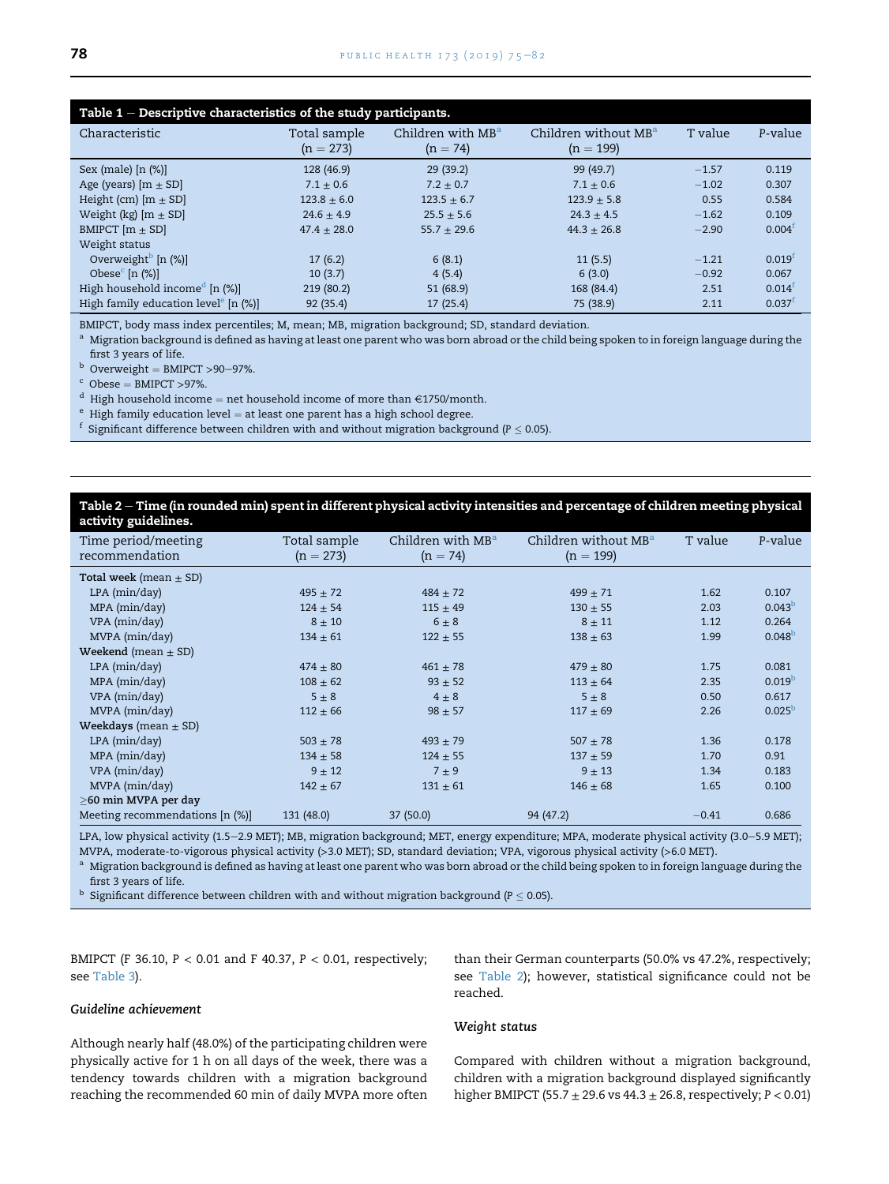<span id="page-3-0"></span>

| Table $1$ – Descriptive characteristics of the study participants. |                             |                                             |                                                 |         |                      |  |  |
|--------------------------------------------------------------------|-----------------------------|---------------------------------------------|-------------------------------------------------|---------|----------------------|--|--|
| Characteristic                                                     | Total sample<br>$(n = 273)$ | Children with MB <sup>a</sup><br>$(n = 74)$ | Children without MB <sup>a</sup><br>$(n = 199)$ | T value | P-value              |  |  |
| Sex (male) $[n (%)]$                                               | 128 (46.9)                  | 29(39.2)                                    | 99(49.7)                                        | $-1.57$ | 0.119                |  |  |
| Age (years) $[m \pm SD]$                                           | $7.1 \pm 0.6$               | $7.2 + 0.7$                                 | $7.1 + 0.6$                                     | $-1.02$ | 0.307                |  |  |
| Height (cm) $[m \pm SD]$                                           | $123.8 \pm 6.0$             | $123.5 \pm 6.7$                             | $123.9 + 5.8$                                   | 0.55    | 0.584                |  |  |
| Weight (kg) $[m \pm SD]$                                           | $24.6 \pm 4.9$              | $25.5 \pm 5.6$                              | $24.3 \pm 4.5$                                  | $-1.62$ | 0.109                |  |  |
| BMIPCT $[m \pm SD]$                                                | $47.4 + 28.0$               | $55.7 + 29.6$                               | $44.3 + 26.8$                                   | $-2.90$ | 0.004 <sup>f</sup>   |  |  |
| Weight status                                                      |                             |                                             |                                                 |         |                      |  |  |
| Overweight <sup>b</sup> $[n \ (\%)]$                               | 17(6.2)                     | 6(8.1)                                      | 11(5.5)                                         | $-1.21$ | 0.019 <sup>f</sup>   |  |  |
| Obese <sup>c</sup> [n $(\%)$ ]                                     | 10(3.7)                     | 4(5.4)                                      | 6(3.0)                                          | $-0.92$ | 0.067                |  |  |
| High household income <sup>d</sup> [n $(\%)$ ]                     | 219 (80.2)                  | 51(68.9)                                    | 168 (84.4)                                      | 2.51    | $0.014$ <sup>t</sup> |  |  |
| High family education level $[n \ (\%)]$                           | 92(35.4)                    | 17(25.4)                                    | 75 (38.9)                                       | 2.11    | $0.037$ <sup>t</sup> |  |  |

BMIPCT, body mass index percentiles; M, mean; MB, migration background; SD, standard deviation.

<sup>a</sup> Migration background is defined as having at least one parent who was born abroad or the child being spoken to in foreign language during the % first 3 years of life. <br>  $^{\rm b}$  Overweight = BMIPCT >90–97%.

<sup>b</sup> Overweight = BMIPCT >90−97%.<br><sup>c</sup> Obese = BMIPCT >97%.<br><sup>d</sup> High household income = net household income of more than €1750/month.<br><sup>e</sup> High family education level = at least one parent has a high school degree.<br><sup>f</sup> Sig

# Table 2 - Time (in rounded min) spent in different physical activity intensities and percentage of children meeting physical activity guidelines.

| Time period/meeting<br>recommendation | Total sample<br>$(n = 273)$ | Children with MB <sup>a</sup><br>$(n = 74)$ | Children without MB <sup>a</sup><br>$(n = 199)$ | T value | P-value            |
|---------------------------------------|-----------------------------|---------------------------------------------|-------------------------------------------------|---------|--------------------|
| <b>Total week</b> (mean $\pm$ SD)     |                             |                                             |                                                 |         |                    |
| $LPA$ ( $min/day$ )                   | $495 \pm 72$                | $484 \pm 72$                                | $499 \pm 71$                                    | 1.62    | 0.107              |
| MPA (min/day)                         | $124 \pm 54$                | $115 \pm 49$                                | $130 \pm 55$                                    | 2.03    | 0.043 <sup>b</sup> |
| VPA (min/day)                         | $8 \pm 10$                  | $6 \pm 8$                                   | $8 \pm 11$                                      | 1.12    | 0.264              |
| MVPA (min/day)                        | $134 \pm 61$                | $122 \pm 55$                                | $138 \pm 63$                                    | 1.99    | $0.048^{b}$        |
| Weekend (mean $\pm$ SD)               |                             |                                             |                                                 |         |                    |
| $LPA$ ( $min/day$ )                   | $474 \pm 80$                | $461 \pm 78$                                | $479 \pm 80$                                    | 1.75    | 0.081              |
| MPA (min/day)                         | $108 \pm 62$                | $93 \pm 52$                                 | $113 \pm 64$                                    | 2.35    | 0.019 <sup>b</sup> |
| VPA (min/day)                         | $5 \pm 8$                   | $4 \pm 8$                                   | $5 \pm 8$                                       | 0.50    | 0.617              |
| MVPA (min/day)                        | $112 \pm 66$                | $98 \pm 57$                                 | $117 + 69$                                      | 2.26    | 0.025 <sup>b</sup> |
| <b>Weekdays</b> (mean $\pm$ SD)       |                             |                                             |                                                 |         |                    |
| $LPA$ ( $min/day$ )                   | $503 \pm 78$                | $493 \pm 79$                                | $507 + 78$                                      | 1.36    | 0.178              |
| MPA (min/day)                         | $134 \pm 58$                | $124 \pm 55$                                | $137 + 59$                                      | 1.70    | 0.91               |
| VPA (min/day)                         | $9 \pm 12$                  | $7 \pm 9$                                   | $9 + 13$                                        | 1.34    | 0.183              |
| MVPA (min/day)                        | $142 \pm 67$                | $131 \pm 61$                                | $146 \pm 68$                                    | 1.65    | 0.100              |
| >60 min MVPA per day                  |                             |                                             |                                                 |         |                    |
| Meeting recommendations [n (%)]       | 131 (48.0)                  | 37(50.0)                                    | 94 (47.2)                                       | $-0.41$ | 0.686              |

LPA, low physical activity (1.5-2.9 MET); MB, migration background; MET, energy expenditure; MPA, moderate physical activity (3.0-5.9 MET); MVPA, moderate-to-vigorous physical activity (>3.0 MET); SD, standard deviation; VPA, vigorous physical activity (>6.0 MET).

<sup>a</sup> Migration background is defined as having at least one parent who was born abroad or the child being spoken to in foreign language during the first 3 years of life.

 $^{\rm b}$  Significant difference between children with and without migration background (P  $\leq$  0.05).

BMIPCT (F 36.10, P < 0.01 and F 40.37, P < 0.01, respectively; see [Table 3\)](#page-4-0).

# Guideline achievement

Although nearly half (48.0%) of the participating children were physically active for 1 h on all days of the week, there was a tendency towards children with a migration background reaching the recommended 60 min of daily MVPA more often

#### Weight status

reached.

Compared with children without a migration background, children with a migration background displayed significantly higher BMIPCT (55.7  $\pm$  29.6 vs 44.3  $\pm$  26.8, respectively; P < 0.01)

than their German counterparts (50.0% vs 47.2%, respectively; see Table 2); however, statistical significance could not be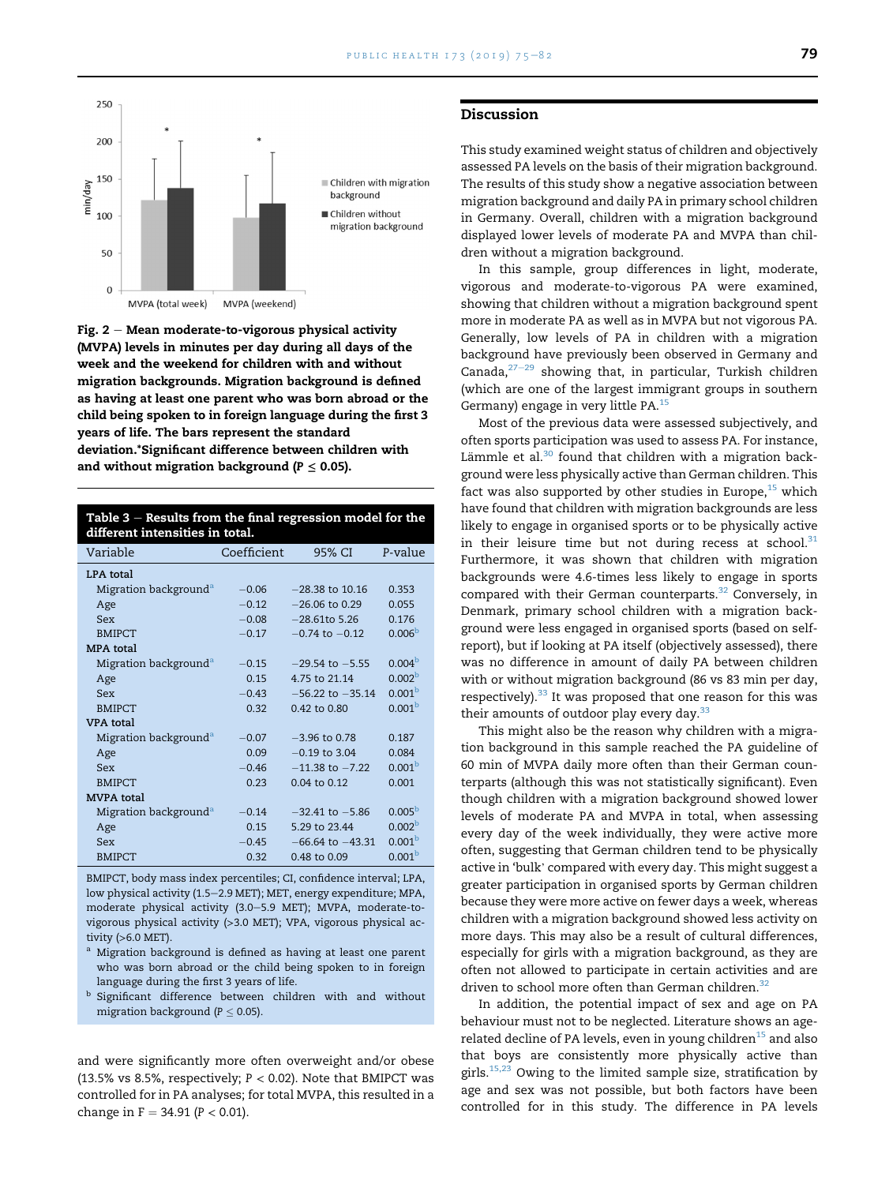<span id="page-4-0"></span>

Fig.  $2 -$  Mean moderate-to-vigorous physical activity (MVPA) levels in minutes per day during all days of the week and the weekend for children with and without migration backgrounds. Migration background is defined as having at least one parent who was born abroad or the child being spoken to in foreign language during the first 3 years of life. The bars represent the standard deviation.\*Significant difference between children with and without migration background ( $P \leq 0.05$ ).

| Table $3$ – Results from the final regression model for the |  |
|-------------------------------------------------------------|--|
| different intensities in total.                             |  |

| Variable                          | Coefficient | 95% CI               | P-value            |
|-----------------------------------|-------------|----------------------|--------------------|
| LPA total                         |             |                      |                    |
| Migration background <sup>a</sup> | $-0.06$     | $-28.38$ to 10.16    | 0.353              |
| Age                               | $-0.12$     | $-26.06$ to 0.29     | 0.055              |
| Sex                               | $-0.08$     | $-28.61$ to 5.26     | 0.176              |
| <b>BMIPCT</b>                     | $-0.17$     | $-0.74$ to $-0.12$   | 0.006 <sup>b</sup> |
| <b>MPA</b> total                  |             |                      |                    |
| Migration background <sup>a</sup> | $-0.15$     | $-29.54$ to $-5.55$  | 0.004 <sup>b</sup> |
| Age                               | 0.15        | 4.75 to 21.14        | 0.002 <sup>b</sup> |
| Sex                               | $-0.43$     | $-56.22$ to $-35.14$ | 0.001 <sup>b</sup> |
| <b>BMIPCT</b>                     | 0.32        | $0.42$ to $0.80$     | 0.001 <sup>b</sup> |
| <b>VPA</b> total                  |             |                      |                    |
| Migration background <sup>a</sup> | $-0.07$     | $-3.96$ to 0.78      | 0.187              |
| Age                               | 0.09        | $-0.19$ to 3.04      | 0.084              |
| Sex                               | $-0.46$     | $-11$ 38 to $-7$ 22  | 0.001 <sup>b</sup> |
| <b>BMIPCT</b>                     | 0.23        | 0.04 to 0.12         | 0.001              |
| <b>MVPA</b> total                 |             |                      |                    |
| Migration background <sup>a</sup> | $-0.14$     | $-32.41$ to $-5.86$  | 0.005 <sup>b</sup> |
| Age                               | 0.15        | 5.29 to 23.44        | 0.002 <sup>b</sup> |
| Sex                               | $-0.45$     | $-66.64$ to $-43.31$ | 0.001 <sup>b</sup> |
| <b>BMIPCT</b>                     | 0.32        | 0.48 to 0.09         | 0.001 <sup>b</sup> |

BMIPCT, body mass index percentiles; CI, confidence interval; LPA, low physical activity (1.5-2.9 MET); MET, energy expenditure; MPA, moderate physical activity (3.0-5.9 MET); MVPA, moderate-tovigorous physical activity (>3.0 MET); VPA, vigorous physical activity (>6.0 MET).

- Migration background is defined as having at least one parent who was born abroad or the child being spoken to in foreign language during the first 3 years of life.
- $^{\rm b}$  Significant difference between children with and without migration background ( $P \leq 0.05$ ).

and were significantly more often overweight and/or obese (13.5% vs 8.5%, respectively;  $P < 0.02$ ). Note that BMIPCT was controlled for in PA analyses; for total MVPA, this resulted in a change in  $F = 34.91 (P < 0.01)$ .

#### Discussion

This study examined weight status of children and objectively assessed PA levels on the basis of their migration background. The results of this study show a negative association between migration background and daily PA in primary school children in Germany. Overall, children with a migration background displayed lower levels of moderate PA and MVPA than children without a migration background.

In this sample, group differences in light, moderate, vigorous and moderate-to-vigorous PA were examined, showing that children without a migration background spent more in moderate PA as well as in MVPA but not vigorous PA. Generally, low levels of PA in children with a migration background have previously been observed in Germany and Canada, $27-29$  $27-29$  $27-29$  showing that, in particular, Turkish children (which are one of the largest immigrant groups in southern Germany) engage in very little PA.[15](#page-6-0)

Most of the previous data were assessed subjectively, and often sports participation was used to assess PA. For instance, Lämmle et al. $30$  found that children with a migration background were less physically active than German children. This fact was also supported by other studies in Europe, $15$  which have found that children with migration backgrounds are less likely to engage in organised sports or to be physically active in their leisure time but not during recess at school. $31$ Furthermore, it was shown that children with migration backgrounds were 4.6-times less likely to engage in sports compared with their German counterparts.<sup>32</sup> Conversely, in Denmark, primary school children with a migration background were less engaged in organised sports (based on selfreport), but if looking at PA itself (objectively assessed), there was no difference in amount of daily PA between children with or without migration background (86 vs 83 min per day, respectively). $33$  It was proposed that one reason for this was their amounts of outdoor play every day. $33$ 

This might also be the reason why children with a migration background in this sample reached the PA guideline of 60 min of MVPA daily more often than their German counterparts (although this was not statistically significant). Even though children with a migration background showed lower levels of moderate PA and MVPA in total, when assessing every day of the week individually, they were active more often, suggesting that German children tend to be physically active in 'bulk' compared with every day. This might suggest a greater participation in organised sports by German children because they were more active on fewer days a week, whereas children with a migration background showed less activity on more days. This may also be a result of cultural differences, especially for girls with a migration background, as they are often not allowed to participate in certain activities and are driven to school more often than German children.<sup>[32](#page-7-0)</sup>

In addition, the potential impact of sex and age on PA behaviour must not to be neglected. Literature shows an age-related decline of PA levels, even in young children<sup>[15](#page-6-0)</sup> and also that boys are consistently more physically active than girls.<sup>[15,23](#page-6-0)</sup> Owing to the limited sample size, stratification by age and sex was not possible, but both factors have been controlled for in this study. The difference in PA levels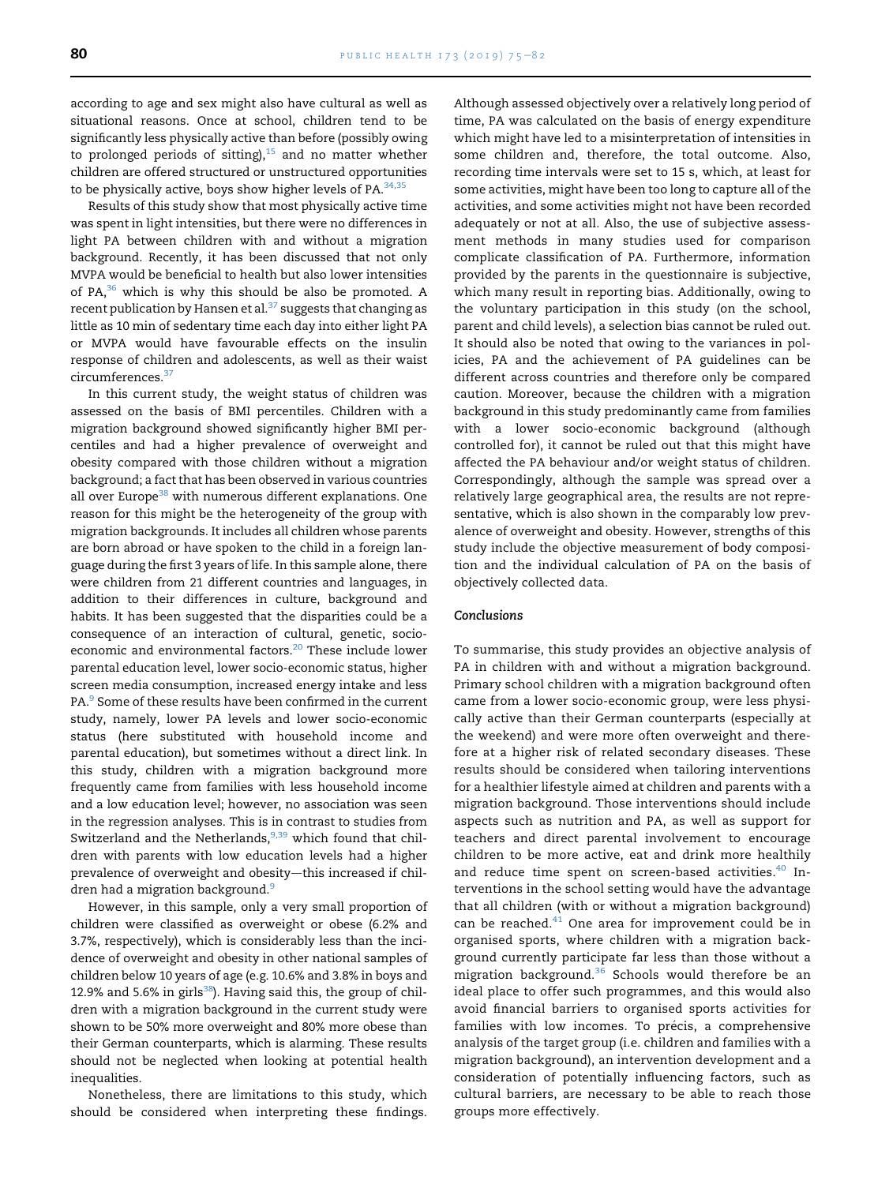according to age and sex might also have cultural as well as situational reasons. Once at school, children tend to be significantly less physically active than before (possibly owing to prolonged periods of sitting), $15$  and no matter whether children are offered structured or unstructured opportunities to be physically active, boys show higher levels of  $PA^{34,35}$  $PA^{34,35}$  $PA^{34,35}$ 

Results of this study show that most physically active time was spent in light intensities, but there were no differences in light PA between children with and without a migration background. Recently, it has been discussed that not only MVPA would be beneficial to health but also lower intensities of PA, $36$  which is why this should be also be promoted. A recent publication by Hansen et al.<sup>[37](#page-7-0)</sup> suggests that changing as little as 10 min of sedentary time each day into either light PA or MVPA would have favourable effects on the insulin response of children and adolescents, as well as their waist circumferences.[37](#page-7-0)

In this current study, the weight status of children was assessed on the basis of BMI percentiles. Children with a migration background showed significantly higher BMI percentiles and had a higher prevalence of overweight and obesity compared with those children without a migration background; a fact that has been observed in various countries all over Europe<sup>38</sup> with numerous different explanations. One reason for this might be the heterogeneity of the group with migration backgrounds. It includes all children whose parents are born abroad or have spoken to the child in a foreign language during the first 3 years of life. In this sample alone, there were children from 21 different countries and languages, in addition to their differences in culture, background and habits. It has been suggested that the disparities could be a consequence of an interaction of cultural, genetic, socioeconomic and environmental factors.<sup>20</sup> These include lower parental education level, lower socio-economic status, higher screen media consumption, increased energy intake and less PA.<sup>[9](#page-6-0)</sup> Some of these results have been confirmed in the current study, namely, lower PA levels and lower socio-economic status (here substituted with household income and parental education), but sometimes without a direct link. In this study, children with a migration background more frequently came from families with less household income and a low education level; however, no association was seen in the regression analyses. This is in contrast to studies from Switzerland and the Netherlands,  $9,39$  which found that children with parents with low education levels had a higher prevalence of overweight and obesity-this increased if chil-dren had a migration background.<sup>[9](#page-6-0)</sup>

However, in this sample, only a very small proportion of children were classified as overweight or obese (6.2% and 3.7%, respectively), which is considerably less than the incidence of overweight and obesity in other national samples of children below 10 years of age (e.g. 10.6% and 3.8% in boys and 12.9% and 5.6% in girls $38$ ). Having said this, the group of children with a migration background in the current study were shown to be 50% more overweight and 80% more obese than their German counterparts, which is alarming. These results should not be neglected when looking at potential health inequalities.

Nonetheless, there are limitations to this study, which should be considered when interpreting these findings.

Although assessed objectively over a relatively long period of time, PA was calculated on the basis of energy expenditure which might have led to a misinterpretation of intensities in some children and, therefore, the total outcome. Also, recording time intervals were set to 15 s, which, at least for some activities, might have been too long to capture all of the activities, and some activities might not have been recorded adequately or not at all. Also, the use of subjective assessment methods in many studies used for comparison complicate classification of PA. Furthermore, information provided by the parents in the questionnaire is subjective, which many result in reporting bias. Additionally, owing to the voluntary participation in this study (on the school, parent and child levels), a selection bias cannot be ruled out. It should also be noted that owing to the variances in policies, PA and the achievement of PA guidelines can be different across countries and therefore only be compared caution. Moreover, because the children with a migration background in this study predominantly came from families with a lower socio-economic background (although controlled for), it cannot be ruled out that this might have affected the PA behaviour and/or weight status of children. Correspondingly, although the sample was spread over a relatively large geographical area, the results are not representative, which is also shown in the comparably low prevalence of overweight and obesity. However, strengths of this study include the objective measurement of body composition and the individual calculation of PA on the basis of objectively collected data.

#### Conclusions

To summarise, this study provides an objective analysis of PA in children with and without a migration background. Primary school children with a migration background often came from a lower socio-economic group, were less physically active than their German counterparts (especially at the weekend) and were more often overweight and therefore at a higher risk of related secondary diseases. These results should be considered when tailoring interventions for a healthier lifestyle aimed at children and parents with a migration background. Those interventions should include aspects such as nutrition and PA, as well as support for teachers and direct parental involvement to encourage children to be more active, eat and drink more healthily and reduce time spent on screen-based activities.<sup>[40](#page-7-0)</sup> Interventions in the school setting would have the advantage that all children (with or without a migration background) can be reached. $41$  One area for improvement could be in organised sports, where children with a migration background currently participate far less than those without a migration background.<sup>[36](#page-7-0)</sup> Schools would therefore be an ideal place to offer such programmes, and this would also avoid financial barriers to organised sports activities for families with low incomes. To précis, a comprehensive analysis of the target group (i.e. children and families with a migration background), an intervention development and a consideration of potentially influencing factors, such as cultural barriers, are necessary to be able to reach those groups more effectively.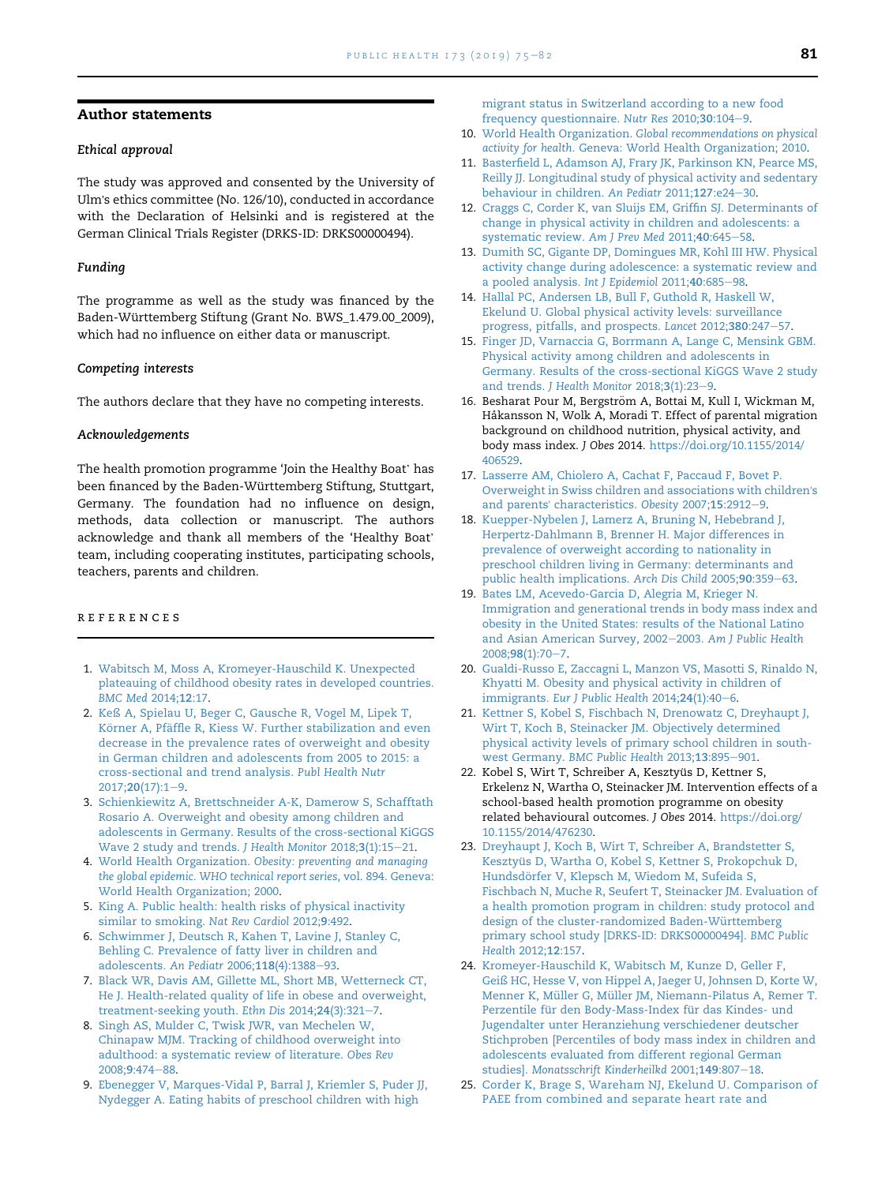# <span id="page-6-0"></span>Author statements

# Ethical approval

The study was approved and consented by the University of Ulm's ethics committee (No. 126/10), conducted in accordance with the Declaration of Helsinki and is registered at the German Clinical Trials Register (DRKS-ID: DRKS00000494).

#### Funding

The programme as well as the study was financed by the Baden-Württemberg Stiftung (Grant No. BWS\_1.479.00\_2009), which had no influence on either data or manuscript.

#### Competing interests

The authors declare that they have no competing interests.

#### Acknowledgements

The health promotion programme 'Join the Healthy Boat' has been financed by the Baden-Württemberg Stiftung, Stuttgart, Germany. The foundation had no influence on design, methods, data collection or manuscript. The authors acknowledge and thank all members of the 'Healthy Boat' team, including cooperating institutes, participating schools, teachers, parents and children.

#### references

- 1. [Wabitsch M, Moss A, Kromeyer-Hauschild K. Unexpected](http://refhub.elsevier.com/S0033-3506(19)30154-4/sref1) [plateauing of childhood obesity rates in developed countries.](http://refhub.elsevier.com/S0033-3506(19)30154-4/sref1) [BMC Med](http://refhub.elsevier.com/S0033-3506(19)30154-4/sref1) 2014;12:17.
- 2. [Keß A, Spielau U, Beger C, Gausche R, Vogel M, Lipek T,](http://refhub.elsevier.com/S0033-3506(19)30154-4/sref2) [K](http://refhub.elsevier.com/S0033-3506(19)30154-4/sref2)ö[rner A, Pf](http://refhub.elsevier.com/S0033-3506(19)30154-4/sref2)äffle R, Kiess W. Further stabilization and even [decrease in the prevalence rates of overweight and obesity](http://refhub.elsevier.com/S0033-3506(19)30154-4/sref2) [in German children and adolescents from 2005 to 2015: a](http://refhub.elsevier.com/S0033-3506(19)30154-4/sref2) [cross-sectional and trend analysis.](http://refhub.elsevier.com/S0033-3506(19)30154-4/sref2) Publ Health Nutr 2017;20[\(17\):1](http://refhub.elsevier.com/S0033-3506(19)30154-4/sref2)-[9.](http://refhub.elsevier.com/S0033-3506(19)30154-4/sref2)
- 3. [Schienkiewitz A, Brettschneider A-K, Damerow S, Schafftath](http://refhub.elsevier.com/S0033-3506(19)30154-4/sref3) [Rosario A. Overweight and obesity among children and](http://refhub.elsevier.com/S0033-3506(19)30154-4/sref3) [adolescents in Germany. Results of the cross-sectional KiGGS](http://refhub.elsevier.com/S0033-3506(19)30154-4/sref3) [Wave 2 study and trends.](http://refhub.elsevier.com/S0033-3506(19)30154-4/sref3) J Health Monitor 2018;3(1):15-[21.](http://refhub.elsevier.com/S0033-3506(19)30154-4/sref3)
- 4. World Health Organization. [Obesity: preventing and managing](http://refhub.elsevier.com/S0033-3506(19)30154-4/sref4) [the global epidemic. WHO technical report series](http://refhub.elsevier.com/S0033-3506(19)30154-4/sref4), vol. 894. Geneva: [World Health Organization; 2000.](http://refhub.elsevier.com/S0033-3506(19)30154-4/sref4)
- 5. [King A. Public health: health risks of physical inactivity](http://refhub.elsevier.com/S0033-3506(19)30154-4/sref5) [similar to smoking.](http://refhub.elsevier.com/S0033-3506(19)30154-4/sref5) Nat Rev Cardiol 2012;9:492.
- 6. [Schwimmer J, Deutsch R, Kahen T, Lavine J, Stanley C,](http://refhub.elsevier.com/S0033-3506(19)30154-4/sref6) [Behling C. Prevalence of fatty liver in children and](http://refhub.elsevier.com/S0033-3506(19)30154-4/sref6) [adolescents.](http://refhub.elsevier.com/S0033-3506(19)30154-4/sref6) An Pediatr 2006;118(4):1388-[93.](http://refhub.elsevier.com/S0033-3506(19)30154-4/sref6)
- 7. [Black WR, Davis AM, Gillette ML, Short MB, Wetterneck CT,](http://refhub.elsevier.com/S0033-3506(19)30154-4/sref7) [He J. Health-related quality of life in obese and overweight,](http://refhub.elsevier.com/S0033-3506(19)30154-4/sref7) [treatment-seeking youth.](http://refhub.elsevier.com/S0033-3506(19)30154-4/sref7) Ethn Dis  $2014;24(3):321-7$  $2014;24(3):321-7$ .
- 8. [Singh AS, Mulder C, Twisk JWR, van Mechelen W,](http://refhub.elsevier.com/S0033-3506(19)30154-4/sref8) [Chinapaw MJM. Tracking of childhood overweight into](http://refhub.elsevier.com/S0033-3506(19)30154-4/sref8) [adulthood: a systematic review of literature.](http://refhub.elsevier.com/S0033-3506(19)30154-4/sref8) Obes Rev [2008;](http://refhub.elsevier.com/S0033-3506(19)30154-4/sref8)9:474-[88](http://refhub.elsevier.com/S0033-3506(19)30154-4/sref8).
- 9. [Ebenegger V, Marques-Vidal P, Barral J, Kriemler S, Puder JJ,](http://refhub.elsevier.com/S0033-3506(19)30154-4/sref9) [Nydegger A. Eating habits of preschool children with high](http://refhub.elsevier.com/S0033-3506(19)30154-4/sref9)

[migrant status in Switzerland according to a new food](http://refhub.elsevier.com/S0033-3506(19)30154-4/sref9) [frequency questionnaire.](http://refhub.elsevier.com/S0033-3506(19)30154-4/sref9) Nutr Res 2010;30:104-[9](http://refhub.elsevier.com/S0033-3506(19)30154-4/sref9).

- 10. World Health Organization. [Global recommendations on physical](http://refhub.elsevier.com/S0033-3506(19)30154-4/sref10) activity for health[. Geneva: World Health Organization; 2010.](http://refhub.elsevier.com/S0033-3506(19)30154-4/sref10)
- 11. [Basterfield L, Adamson AJ, Frary JK, Parkinson KN, Pearce MS,](http://refhub.elsevier.com/S0033-3506(19)30154-4/sref11) [Reilly JJ. Longitudinal study of physical activity and sedentary](http://refhub.elsevier.com/S0033-3506(19)30154-4/sref11) [behaviour in children.](http://refhub.elsevier.com/S0033-3506(19)30154-4/sref11) An Pediatr 2011;127:e24-[30](http://refhub.elsevier.com/S0033-3506(19)30154-4/sref11).
- 12. [Craggs C, Corder K, van Sluijs EM, Griffin SJ. Determinants of](http://refhub.elsevier.com/S0033-3506(19)30154-4/sref12) [change in physical activity in children and adolescents: a](http://refhub.elsevier.com/S0033-3506(19)30154-4/sref12) [systematic review.](http://refhub.elsevier.com/S0033-3506(19)30154-4/sref12) Am J Prev Med 2011;40:645-[58.](http://refhub.elsevier.com/S0033-3506(19)30154-4/sref12)
- 13. [Dumith SC, Gigante DP, Domingues MR, Kohl III HW. Physical](http://refhub.elsevier.com/S0033-3506(19)30154-4/sref13) [activity change during adolescence: a systematic review and](http://refhub.elsevier.com/S0033-3506(19)30154-4/sref13) [a pooled analysis.](http://refhub.elsevier.com/S0033-3506(19)30154-4/sref13) Int J Epidemiol 2011;40:685-[98](http://refhub.elsevier.com/S0033-3506(19)30154-4/sref13).
- 14. [Hallal PC, Andersen LB, Bull F, Guthold R, Haskell W,](http://refhub.elsevier.com/S0033-3506(19)30154-4/sref14) [Ekelund U. Global physical activity levels: surveillance](http://refhub.elsevier.com/S0033-3506(19)30154-4/sref14) [progress, pitfalls, and prospects.](http://refhub.elsevier.com/S0033-3506(19)30154-4/sref14) Lancet 2012;380:247-[57.](http://refhub.elsevier.com/S0033-3506(19)30154-4/sref14)
- 15. [Finger JD, Varnaccia G, Borrmann A, Lange C, Mensink GBM.](http://refhub.elsevier.com/S0033-3506(19)30154-4/sref15) [Physical activity among children and adolescents in](http://refhub.elsevier.com/S0033-3506(19)30154-4/sref15) [Germany. Results of the cross-sectional KiGGS Wave 2 study](http://refhub.elsevier.com/S0033-3506(19)30154-4/sref15) and trends. [J Health Monitor](http://refhub.elsevier.com/S0033-3506(19)30154-4/sref15)  $2018;3(1):23-9$  $2018;3(1):23-9$ .
- 16. Besharat Pour M, Bergström A, Bottai M, Kull I, Wickman M, Håkansson N, Wolk A, Moradi T. Effect of parental migration background on childhood nutrition, physical activity, and body mass index. J Obes 2014. [https://doi.org/10.1155/2014/](https://doi.org/10.1155/2014/406529) [406529](https://doi.org/10.1155/2014/406529).
- 17. [Lasserre AM, Chiolero A, Cachat F, Paccaud F, Bovet P.](http://refhub.elsevier.com/S0033-3506(19)30154-4/sref17) [Overweight in Swiss children and associations with children](http://refhub.elsevier.com/S0033-3506(19)30154-4/sref17)'s and parents' [characteristics.](http://refhub.elsevier.com/S0033-3506(19)30154-4/sref17) Obesity 2007;15:2[9](http://refhub.elsevier.com/S0033-3506(19)30154-4/sref17)12-9.
- 18. [Kuepper-Nybelen J, Lamerz A, Bruning N, Hebebrand J,](http://refhub.elsevier.com/S0033-3506(19)30154-4/sref18) [Herpertz-Dahlmann B, Brenner H. Major differences in](http://refhub.elsevier.com/S0033-3506(19)30154-4/sref18) [prevalence of overweight according to nationality in](http://refhub.elsevier.com/S0033-3506(19)30154-4/sref18) [preschool children living in Germany: determinants and](http://refhub.elsevier.com/S0033-3506(19)30154-4/sref18) [public health implications.](http://refhub.elsevier.com/S0033-3506(19)30154-4/sref18) Arch Dis Child 2005;90:359-[63](http://refhub.elsevier.com/S0033-3506(19)30154-4/sref18).
- 19. [Bates LM, Acevedo-Garcia D, Alegria M, Krieger N.](http://refhub.elsevier.com/S0033-3506(19)30154-4/sref19) [Immigration and generational trends in body mass index and](http://refhub.elsevier.com/S0033-3506(19)30154-4/sref19) [obesity in the United States: results of the National Latino](http://refhub.elsevier.com/S0033-3506(19)30154-4/sref19) [and Asian American Survey, 2002](http://refhub.elsevier.com/S0033-3506(19)30154-4/sref19)-2003. [Am J Public Health](http://refhub.elsevier.com/S0033-3506(19)30154-4/sref19) 2008;98[\(1\):70](http://refhub.elsevier.com/S0033-3506(19)30154-4/sref19)-[7.](http://refhub.elsevier.com/S0033-3506(19)30154-4/sref19)
- 20. [Gualdi-Russo E, Zaccagni L, Manzon VS, Masotti S, Rinaldo N,](http://refhub.elsevier.com/S0033-3506(19)30154-4/sref20) [Khyatti M. Obesity and physical activity in children of](http://refhub.elsevier.com/S0033-3506(19)30154-4/sref20) immigrants. [Eur J Public Health](http://refhub.elsevier.com/S0033-3506(19)30154-4/sref20)  $2014;24(1):40-6$  $2014;24(1):40-6$ .
- 21. [Kettner S, Kobel S, Fischbach N, Drenowatz C, Dreyhaupt J,](http://refhub.elsevier.com/S0033-3506(19)30154-4/sref21) [Wirt T, Koch B, Steinacker JM. Objectively determined](http://refhub.elsevier.com/S0033-3506(19)30154-4/sref21) [physical activity levels of primary school children in south-](http://refhub.elsevier.com/S0033-3506(19)30154-4/sref21)west Germany. [BMC Public Health](http://refhub.elsevier.com/S0033-3506(19)30154-4/sref21) 2013;13:895-[901](http://refhub.elsevier.com/S0033-3506(19)30154-4/sref21).
- 22. Kobel S, Wirt T, Schreiber A, Kesztyüs D, Kettner S, Erkelenz N, Wartha O, Steinacker JM. Intervention effects of a school-based health promotion programme on obesity related behavioural outcomes. J Obes 2014. [https://doi.org/](https://doi.org/10.1155/2014/476230) [10.1155/2014/476230](https://doi.org/10.1155/2014/476230).
- 23. [Dreyhaupt J, Koch B, Wirt T, Schreiber A, Brandstetter S,](http://refhub.elsevier.com/S0033-3506(19)30154-4/sref23) Kesztyü[s D, Wartha O, Kobel S, Kettner S, Prokopchuk D,](http://refhub.elsevier.com/S0033-3506(19)30154-4/sref23) Hundsdörfer V, Klepsch M, Wiedom M, Sufeida S, [Fischbach N, Muche R, Seufert T, Steinacker JM. Evaluation of](http://refhub.elsevier.com/S0033-3506(19)30154-4/sref23) [a health promotion program in children: study protocol and](http://refhub.elsevier.com/S0033-3506(19)30154-4/sref23) design of the cluster-randomized Baden-Württemberg [primary school study \[DRKS-ID: DRKS00000494\].](http://refhub.elsevier.com/S0033-3506(19)30154-4/sref23) BMC Public [Health](http://refhub.elsevier.com/S0033-3506(19)30154-4/sref23) 2012;12:157.
- 24. [Kromeyer-Hauschild K, Wabitsch M, Kunze D, Geller F,](http://refhub.elsevier.com/S0033-3506(19)30154-4/sref24) [Geiß HC, Hesse V, von Hippel A, Jaeger U, Johnsen D, Korte W,](http://refhub.elsevier.com/S0033-3506(19)30154-4/sref24) Menner K, Müller G, Mü[ller JM, Niemann-Pilatus A, Remer T.](http://refhub.elsevier.com/S0033-3506(19)30154-4/sref24) Perzentile für den Body-Mass-Index für das Kindes- und [Jugendalter unter Heranziehung verschiedener deutscher](http://refhub.elsevier.com/S0033-3506(19)30154-4/sref24) [Stichproben \[Percentiles of body mass index in children and](http://refhub.elsevier.com/S0033-3506(19)30154-4/sref24) [adolescents evaluated from different regional German](http://refhub.elsevier.com/S0033-3506(19)30154-4/sref24) studies]. [Monatsschrift Kinderheilkd](http://refhub.elsevier.com/S0033-3506(19)30154-4/sref24) 2001;149:807-[18.](http://refhub.elsevier.com/S0033-3506(19)30154-4/sref24)
- 25. [Corder K, Brage S, Wareham NJ, Ekelund U. Comparison of](http://refhub.elsevier.com/S0033-3506(19)30154-4/sref25) [PAEE from combined and separate heart rate and](http://refhub.elsevier.com/S0033-3506(19)30154-4/sref25)